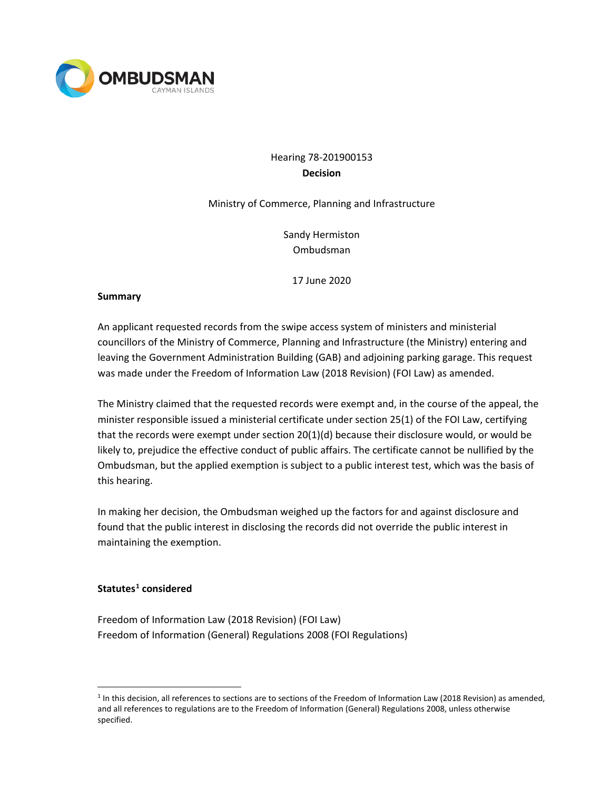

# Hearing 78-201900153 **Decision**

### Ministry of Commerce, Planning and Infrastructure

Sandy Hermiston Ombudsman

17 June 2020

#### **Summary**

An applicant requested records from the swipe access system of ministers and ministerial councillors of the Ministry of Commerce, Planning and Infrastructure (the Ministry) entering and leaving the Government Administration Building (GAB) and adjoining parking garage. This request was made under the Freedom of Information Law (2018 Revision) (FOI Law) as amended.

The Ministry claimed that the requested records were exempt and, in the course of the appeal, the minister responsible issued a ministerial certificate under section 25(1) of the FOI Law, certifying that the records were exempt under section 20(1)(d) because their disclosure would, or would be likely to, prejudice the effective conduct of public affairs. The certificate cannot be nullified by the Ombudsman, but the applied exemption is subject to a public interest test, which was the basis of this hearing.

In making her decision, the Ombudsman weighed up the factors for and against disclosure and found that the public interest in disclosing the records did not override the public interest in maintaining the exemption.

## **Statutes[1](#page-0-0) considered**

Freedom of Information Law (2018 Revision) (FOI Law) Freedom of Information (General) Regulations 2008 (FOI Regulations)

<span id="page-0-0"></span> $1$  In this decision, all references to sections are to sections of the Freedom of Information Law (2018 Revision) as amended, and all references to regulations are to the Freedom of Information (General) Regulations 2008, unless otherwise specified.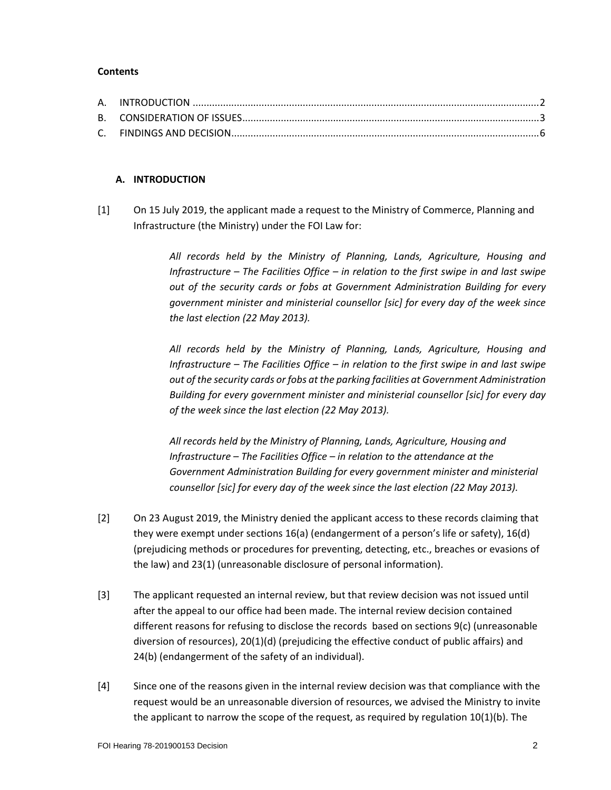#### **Contents**

### **A. INTRODUCTION**

[1] On 15 July 2019, the applicant made a request to the Ministry of Commerce, Planning and Infrastructure (the Ministry) under the FOI Law for:

> *All records held by the Ministry of Planning, Lands, Agriculture, Housing and Infrastructure – The Facilities Office – in relation to the first swipe in and last swipe out of the security cards or fobs at Government Administration Building for every government minister and ministerial counsellor [sic] for every day of the week since the last election (22 May 2013).*

> *All records held by the Ministry of Planning, Lands, Agriculture, Housing and Infrastructure – The Facilities Office – in relation to the first swipe in and last swipe out of the security cards or fobs at the parking facilities at Government Administration Building for every government minister and ministerial counsellor [sic] for every day of the week since the last election (22 May 2013).*

*All records held by the Ministry of Planning, Lands, Agriculture, Housing and Infrastructure – The Facilities Office – in relation to the attendance at the Government Administration Building for every government minister and ministerial counsellor [sic] for every day of the week since the last election (22 May 2013).*

- [2] On 23 August 2019, the Ministry denied the applicant access to these records claiming that they were exempt under sections 16(a) (endangerment of a person's life or safety), 16(d) (prejudicing methods or procedures for preventing, detecting, etc., breaches or evasions of the law) and 23(1) (unreasonable disclosure of personal information).
- [3] The applicant requested an internal review, but that review decision was not issued until after the appeal to our office had been made. The internal review decision contained different reasons for refusing to disclose the records based on sections 9(c) (unreasonable diversion of resources), 20(1)(d) (prejudicing the effective conduct of public affairs) and 24(b) (endangerment of the safety of an individual).
- [4] Since one of the reasons given in the internal review decision was that compliance with the request would be an unreasonable diversion of resources, we advised the Ministry to invite the applicant to narrow the scope of the request, as required by regulation  $10(1)(b)$ . The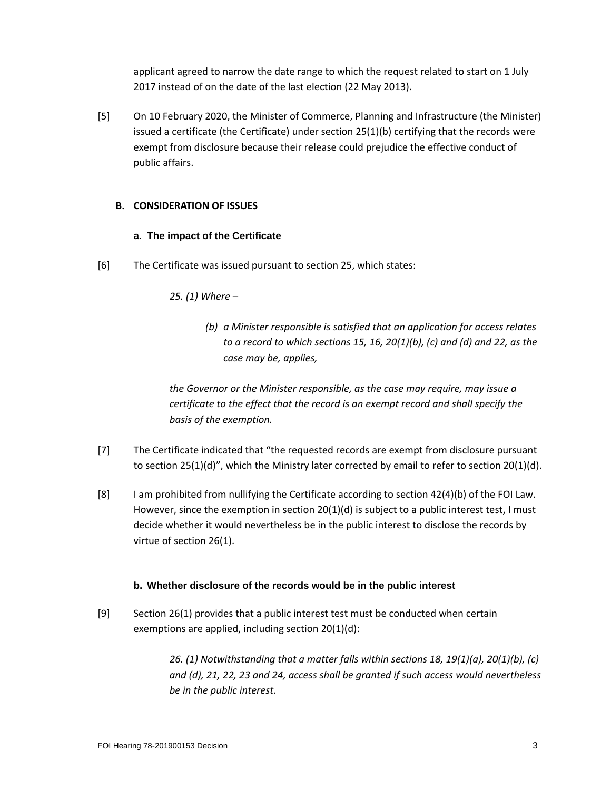applicant agreed to narrow the date range to which the request related to start on 1 July 2017 instead of on the date of the last election (22 May 2013).

[5] On 10 February 2020, the Minister of Commerce, Planning and Infrastructure (the Minister) issued a certificate (the Certificate) under section 25(1)(b) certifying that the records were exempt from disclosure because their release could prejudice the effective conduct of public affairs.

## **B. CONSIDERATION OF ISSUES**

## **a. The impact of the Certificate**

[6] The Certificate was issued pursuant to section 25, which states:

## *25. (1) Where –*

*(b) a Minister responsible is satisfied that an application for access relates to a record to which sections 15, 16, 20(1)(b), (c) and (d) and 22, as the case may be, applies,*

*the Governor or the Minister responsible, as the case may require, may issue a certificate to the effect that the record is an exempt record and shall specify the basis of the exemption.*

- [7] The Certificate indicated that "the requested records are exempt from disclosure pursuant to section 25(1)(d)", which the Ministry later corrected by email to refer to section 20(1)(d).
- [8] I am prohibited from nullifying the Certificate according to section 42(4)(b) of the FOI Law. However, since the exemption in section  $20(1)(d)$  is subject to a public interest test, I must decide whether it would nevertheless be in the public interest to disclose the records by virtue of section 26(1).

#### **b. Whether disclosure of the records would be in the public interest**

[9] Section 26(1) provides that a public interest test must be conducted when certain exemptions are applied, including section 20(1)(d):

> *26. (1) Notwithstanding that a matter falls within sections 18, 19(1)(a), 20(1)(b), (c) and (d), 21, 22, 23 and 24, access shall be granted if such access would nevertheless be in the public interest.*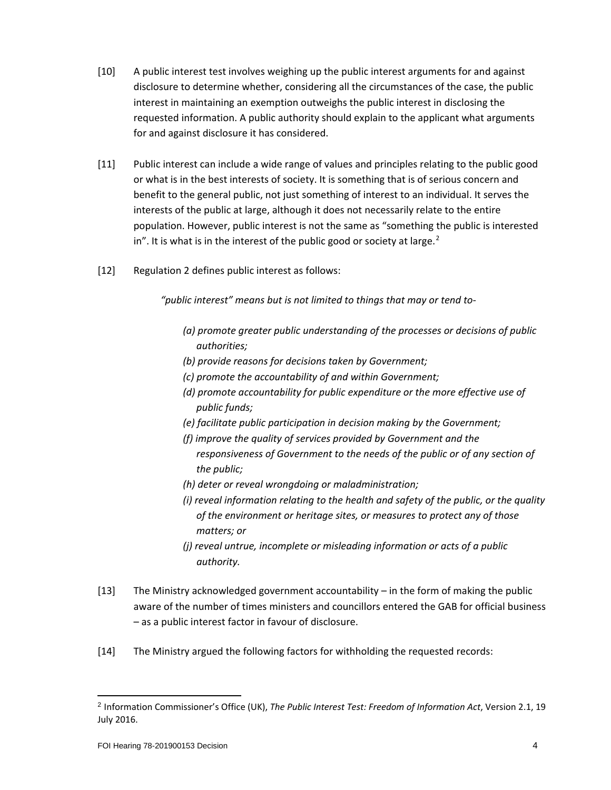- [10] A public interest test involves weighing up the public interest arguments for and against disclosure to determine whether, considering all the circumstances of the case, the public interest in maintaining an exemption outweighs the public interest in disclosing the requested information. A public authority should explain to the applicant what arguments for and against disclosure it has considered.
- [11] Public interest can include a wide range of values and principles relating to the public good or what is in the best interests of society. It is something that is of serious concern and benefit to the general public, not just something of interest to an individual. It serves the interests of the public at large, although it does not necessarily relate to the entire population. However, public interest is not the same as "something the public is interested in". It is what is in the interest of the public good or society at large. $2$
- [12] Regulation 2 defines public interest as follows:

*"public interest" means but is not limited to things that may or tend to-*

- *(a) promote greater public understanding of the processes or decisions of public authorities;*
- *(b) provide reasons for decisions taken by Government;*
- *(c) promote the accountability of and within Government;*
- *(d) promote accountability for public expenditure or the more effective use of public funds;*
- *(e) facilitate public participation in decision making by the Government;*
- *(f) improve the quality of services provided by Government and the responsiveness of Government to the needs of the public or of any section of the public;*
- *(h) deter or reveal wrongdoing or maladministration;*
- *(i) reveal information relating to the health and safety of the public, or the quality of the environment or heritage sites, or measures to protect any of those matters; or*
- *(j) reveal untrue, incomplete or misleading information or acts of a public authority.*
- [13] The Ministry acknowledged government accountability in the form of making the public aware of the number of times ministers and councillors entered the GAB for official business – as a public interest factor in favour of disclosure.
- [14] The Ministry argued the following factors for withholding the requested records:

<span id="page-3-0"></span><sup>2</sup> Information Commissioner's Office (UK), *The Public Interest Test: Freedom of Information Act*, Version 2.1, 19 July 2016.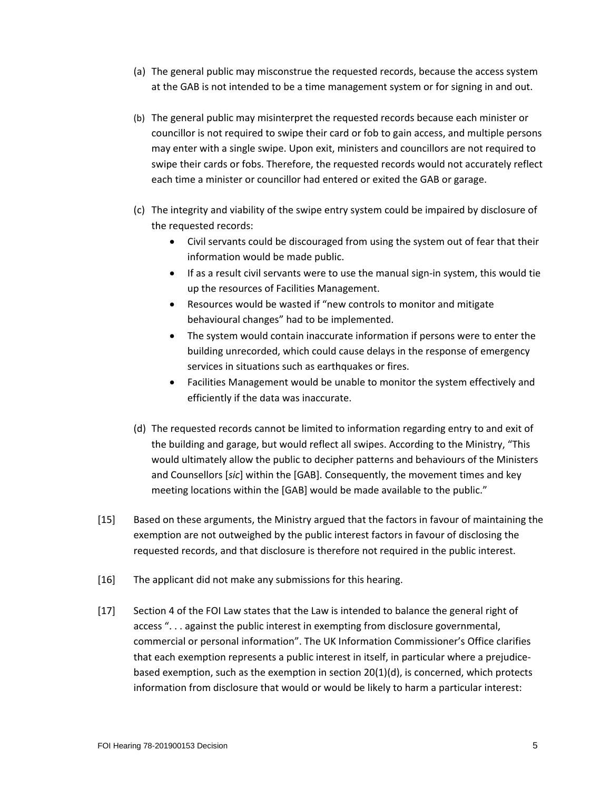- (a) The general public may misconstrue the requested records, because the access system at the GAB is not intended to be a time management system or for signing in and out.
- (b) The general public may misinterpret the requested records because each minister or councillor is not required to swipe their card or fob to gain access, and multiple persons may enter with a single swipe. Upon exit, ministers and councillors are not required to swipe their cards or fobs. Therefore, the requested records would not accurately reflect each time a minister or councillor had entered or exited the GAB or garage.
- (c) The integrity and viability of the swipe entry system could be impaired by disclosure of the requested records:
	- Civil servants could be discouraged from using the system out of fear that their information would be made public.
	- If as a result civil servants were to use the manual sign-in system, this would tie up the resources of Facilities Management.
	- Resources would be wasted if "new controls to monitor and mitigate behavioural changes" had to be implemented.
	- The system would contain inaccurate information if persons were to enter the building unrecorded, which could cause delays in the response of emergency services in situations such as earthquakes or fires.
	- Facilities Management would be unable to monitor the system effectively and efficiently if the data was inaccurate.
- (d) The requested records cannot be limited to information regarding entry to and exit of the building and garage, but would reflect all swipes. According to the Ministry, "This would ultimately allow the public to decipher patterns and behaviours of the Ministers and Counsellors [*sic*] within the [GAB]. Consequently, the movement times and key meeting locations within the [GAB] would be made available to the public."
- [15] Based on these arguments, the Ministry argued that the factors in favour of maintaining the exemption are not outweighed by the public interest factors in favour of disclosing the requested records, and that disclosure is therefore not required in the public interest.
- [16] The applicant did not make any submissions for this hearing.
- [17] Section 4 of the FOI Law states that the Law is intended to balance the general right of access ". . . against the public interest in exempting from disclosure governmental, commercial or personal information". The UK Information Commissioner's Office clarifies that each exemption represents a public interest in itself, in particular where a prejudicebased exemption, such as the exemption in section 20(1)(d), is concerned, which protects information from disclosure that would or would be likely to harm a particular interest: